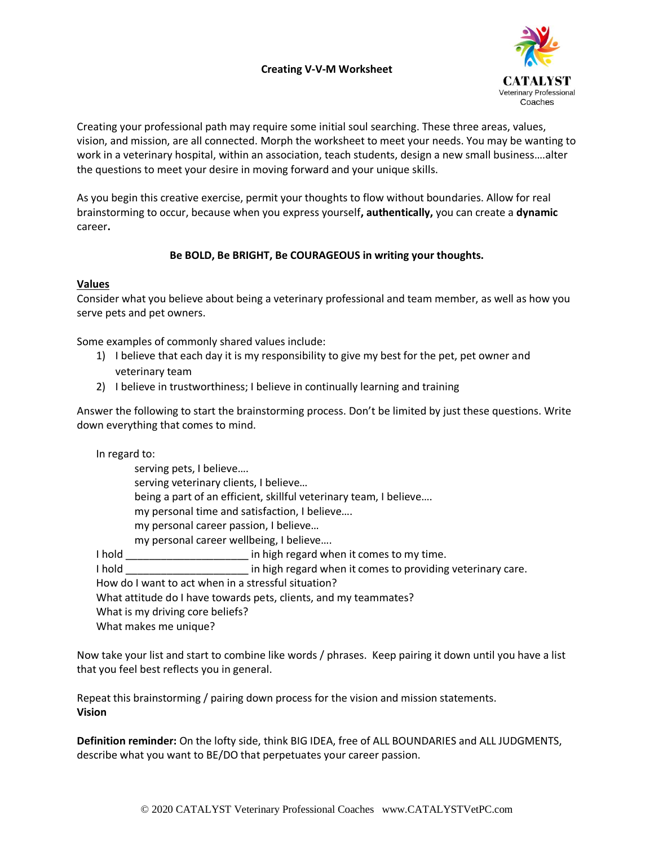## **Creating V-V-M Worksheet**



Creating your professional path may require some initial soul searching. These three areas, values, vision, and mission, are all connected. Morph the worksheet to meet your needs. You may be wanting to work in a veterinary hospital, within an association, teach students, design a new small business….alter the questions to meet your desire in moving forward and your unique skills.

As you begin this creative exercise, permit your thoughts to flow without boundaries. Allow for real brainstorming to occur, because when you express yourself**, authentically,** you can create a **dynamic** career**.** 

## **Be BOLD, Be BRIGHT, Be COURAGEOUS in writing your thoughts.**

## **Values**

Consider what you believe about being a veterinary professional and team member, as well as how you serve pets and pet owners.

Some examples of commonly shared values include:

- 1) I believe that each day it is my responsibility to give my best for the pet, pet owner and veterinary team
- 2) I believe in trustworthiness; I believe in continually learning and training

Answer the following to start the brainstorming process. Don't be limited by just these questions. Write down everything that comes to mind.

In regard to:

serving pets, I believe…. serving veterinary clients, I believe… being a part of an efficient, skillful veterinary team, I believe…. my personal time and satisfaction, I believe…. my personal career passion, I believe… my personal career wellbeing, I believe…. I hold **I** hold **in high regard when it comes to my time.** I hold **South 20 Fightia** in high regard when it comes to providing veterinary care. How do I want to act when in a stressful situation? What attitude do I have towards pets, clients, and my teammates? What is my driving core beliefs? What makes me unique?

Now take your list and start to combine like words / phrases. Keep pairing it down until you have a list that you feel best reflects you in general.

Repeat this brainstorming / pairing down process for the vision and mission statements. **Vision**

**Definition reminder:** On the lofty side, think BIG IDEA, free of ALL BOUNDARIES and ALL JUDGMENTS, describe what you want to BE/DO that perpetuates your career passion.